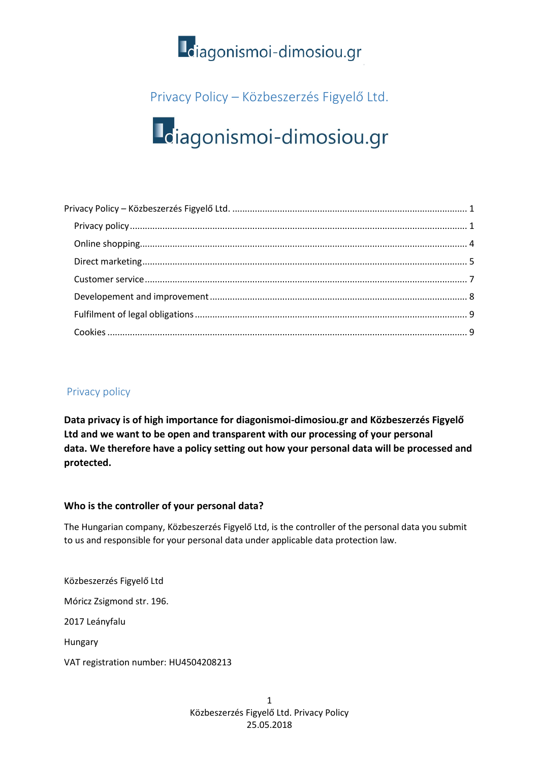

### <span id="page-0-0"></span>Privacy Policy – Közbeszerzés Figyelő Ltd.

# Loiagonismoi-dimosiou.gr

#### <span id="page-0-1"></span>Privacy policy

**Data privacy is of high importance for diagonismoi-dimosiou.gr and Közbeszerzés Figyelő Ltd and we want to be open and transparent with our processing of your personal data. We therefore have a policy setting out how your personal data will be processed and protected.**

#### **Who is the controller of your personal data?**

The Hungarian company, Közbeszerzés Figyelő Ltd, is the controller of the personal data you submit to us and responsible for your personal data under applicable data protection law.

Közbeszerzés Figyelő Ltd

Móricz Zsigmond str. 196.

2017 Leányfalu

Hungary

VAT registration number: HU4504208213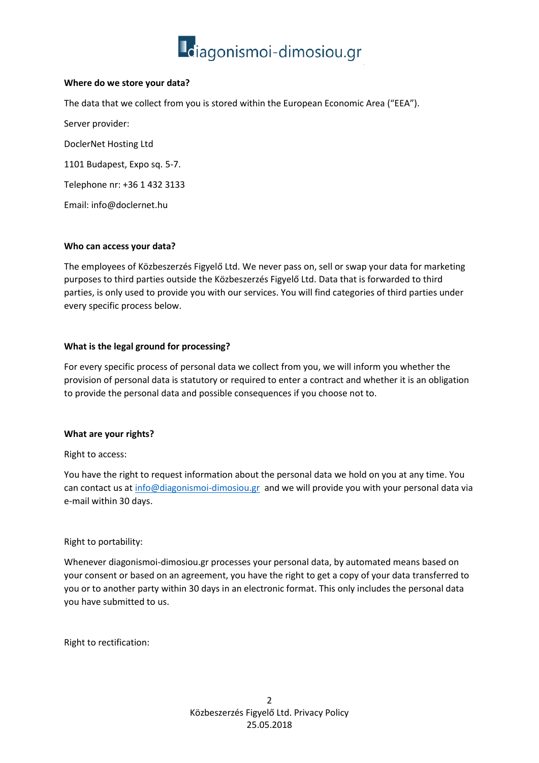

#### **Where do we store your data?**

The data that we collect from you is stored within the European Economic Area ("EEA").

Server provider: DoclerNet Hosting Ltd

1101 Budapest, Expo sq. 5-7.

Telephone nr: +36 1 432 3133

Email: info@doclernet.hu

#### **Who can access your data?**

The employees of Közbeszerzés Figyelő Ltd. We never pass on, sell or swap your data for marketing purposes to third parties outside the Közbeszerzés Figyelő Ltd. Data that is forwarded to third parties, is only used to provide you with our services. You will find categories of third parties under every specific process below.

#### **What is the legal ground for processing?**

For every specific process of personal data we collect from you, we will inform you whether the provision of personal data is statutory or required to enter a contract and whether it is an obligation to provide the personal data and possible consequences if you choose not to.

#### **What are your rights?**

Right to access:

You have the right to request information about the personal data we hold on you at any time. You can contact us at [info@diagonismoi-dimosiou.gr](mailto:info@diagonismoi-dimosiou.gr) and we will provide you with your personal data via e-mail within 30 days.

#### Right to portability:

Whenever diagonismoi-dimosiou.gr processes your personal data, by automated means based on your consent or based on an agreement, you have the right to get a copy of your data transferred to you or to another party within 30 days in an electronic format. This only includes the personal data you have submitted to us.

Right to rectification: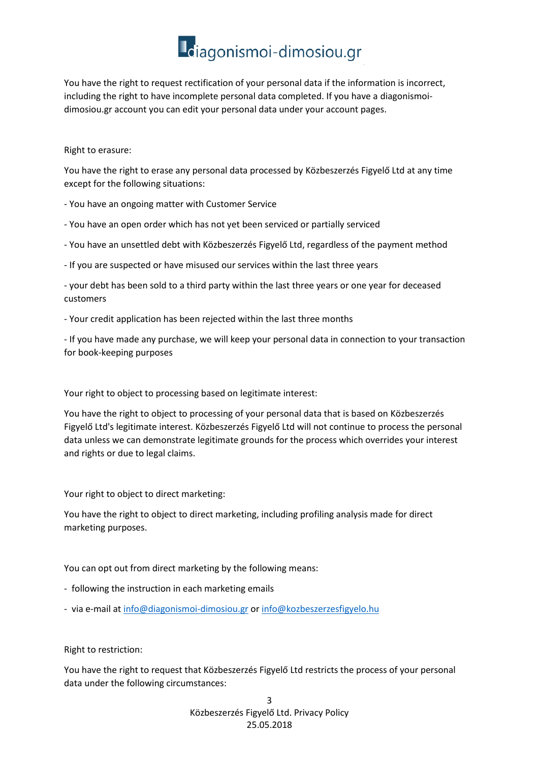## Ldiagonismoi-dimosiou.gr

You have the right to request rectification of your personal data if the information is incorrect, including the right to have incomplete personal data completed. If you have a diagonismoidimosiou.gr account you can edit your personal data under your account pages.

#### Right to erasure:

You have the right to erase any personal data processed by Közbeszerzés Figyelő Ltd at any time except for the following situations:

- You have an ongoing matter with Customer Service
- You have an open order which has not yet been serviced or partially serviced
- You have an unsettled debt with Közbeszerzés Figyelő Ltd, regardless of the payment method
- If you are suspected or have misused our services within the last three years

- your debt has been sold to a third party within the last three years or one year for deceased customers

- Your credit application has been rejected within the last three months

- If you have made any purchase, we will keep your personal data in connection to your transaction for book-keeping purposes

Your right to object to processing based on legitimate interest:

You have the right to object to processing of your personal data that is based on Közbeszerzés Figyelő Ltd's legitimate interest. Közbeszerzés Figyelő Ltd will not continue to process the personal data unless we can demonstrate legitimate grounds for the process which overrides your interest and rights or due to legal claims.

Your right to object to direct marketing:

You have the right to object to direct marketing, including profiling analysis made for direct marketing purposes.

You can opt out from direct marketing by the following means:

- following the instruction in each marketing emails
- via e-mail at [info@diagonismoi-dimosiou.gr](mailto:info@diagonismoi-dimosiou.gr) or [info@kozbeszerzesfigyelo.hu](mailto:info@kozbeszerzesfigyelo.hu)

Right to restriction:

You have the right to request that Közbeszerzés Figyelő Ltd restricts the process of your personal data under the following circumstances:

> 3 Közbeszerzés Figyelő Ltd. Privacy Policy 25.05.2018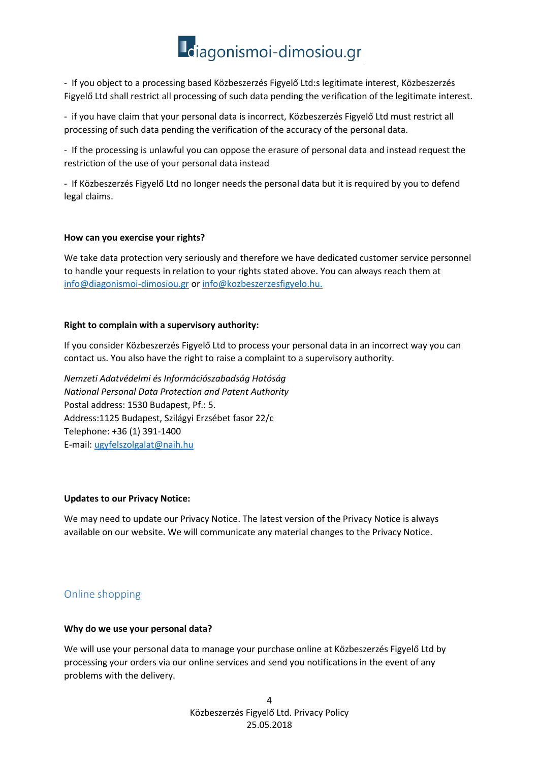## Ldiagonismoi-dimosiou.gr

- If you object to a processing based Közbeszerzés Figyelő Ltd:s legitimate interest, Közbeszerzés Figyelő Ltd shall restrict all processing of such data pending the verification of the legitimate interest.

- if you have claim that your personal data is incorrect, Közbeszerzés Figyelő Ltd must restrict all processing of such data pending the verification of the accuracy of the personal data.

- If the processing is unlawful you can oppose the erasure of personal data and instead request the restriction of the use of your personal data instead

- If Közbeszerzés Figyelő Ltd no longer needs the personal data but it is required by you to defend legal claims.

#### **How can you exercise your rights?**

We take data protection very seriously and therefore we have dedicated customer service personnel to handle your requests in relation to your rights stated above. You can always reach them at [info@diagonismoi-dimosiou.gr](mailto:info@diagonismoi-dimosiou.gr) o[r info@kozbeszerzesfigyelo.hu.](mailto:info@kozbeszerzesfigyelo.hu)

#### **Right to complain with a supervisory authority:**

If you consider Közbeszerzés Figyelő Ltd to process your personal data in an incorrect way you can contact us. You also have the right to raise a complaint to a supervisory authority.

*Nemzeti Adatvédelmi és Információszabadság Hatóság National Personal Data Protection and Patent Authority* Postal address: 1530 Budapest, Pf.: 5. Address:1125 Budapest, Szilágyi Erzsébet fasor 22/c Telephone: +36 (1) 391-1400 E-mail: [ugyfelszolgalat@naih.hu](mailto:ugyfelszolgalat@naih.hu)

#### **Updates to our Privacy Notice:**

We may need to update our Privacy Notice. The latest version of the Privacy Notice is always available on our website. We will communicate any material changes to the Privacy Notice.

#### <span id="page-3-0"></span>Online shopping

#### **Why do we use your personal data?**

We will use your personal data to manage your purchase online at Közbeszerzés Figyelő Ltd by processing your orders via our online services and send you notifications in the event of any problems with the delivery.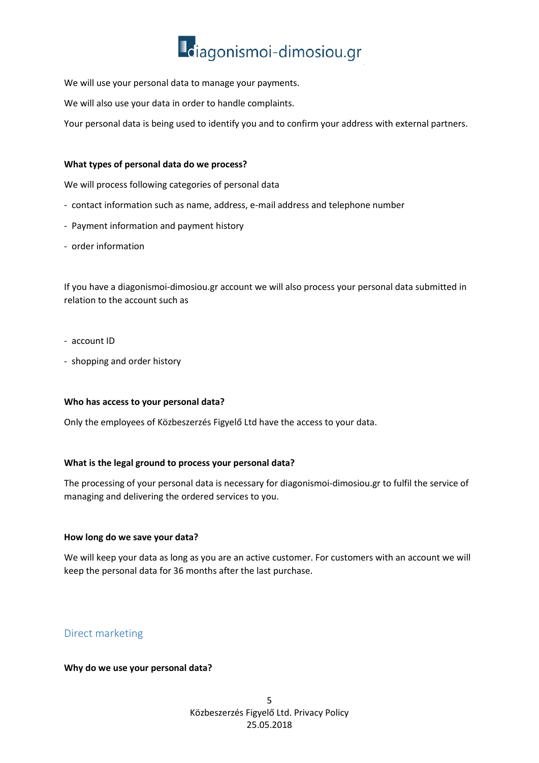

We will use your personal data to manage your payments.

We will also use your data in order to handle complaints.

Your personal data is being used to identify you and to confirm your address with external partners.

#### **What types of personal data do we process?**

We will process following categories of personal data

- contact information such as name, address, e-mail address and telephone number
- Payment information and payment history
- order information

If you have a diagonismoi-dimosiou.gr account we will also process your personal data submitted in relation to the account such as

- account ID
- shopping and order history

#### **Who has access to your personal data?**

Only the employees of Közbeszerzés Figyelő Ltd have the access to your data.

#### **What is the legal ground to process your personal data?**

The processing of your personal data is necessary for diagonismoi-dimosiou.gr to fulfil the service of managing and delivering the ordered services to you.

#### **How long do we save your data?**

We will keep your data as long as you are an active customer. For customers with an account we will keep the personal data for 36 months after the last purchase.

#### <span id="page-4-0"></span>Direct marketing

#### **Why do we use your personal data?**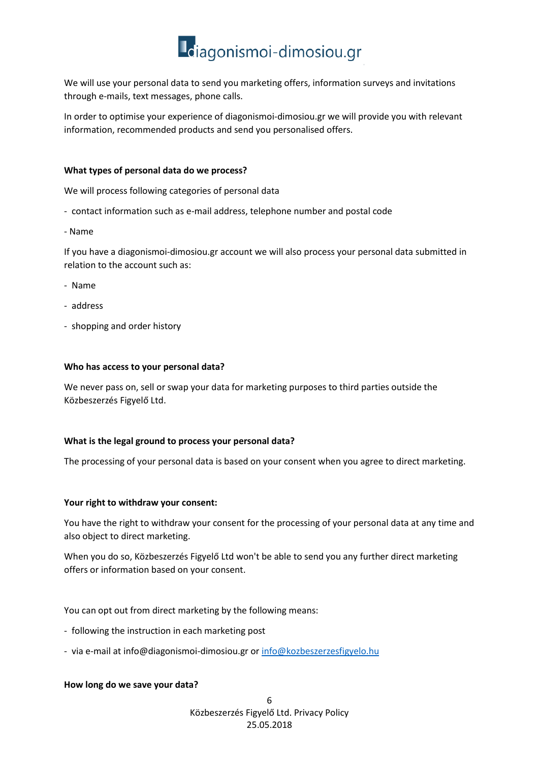

We will use your personal data to send you marketing offers, information surveys and invitations through e-mails, text messages, phone calls.

In order to optimise your experience of diagonismoi-dimosiou.gr we will provide you with relevant information, recommended products and send you personalised offers.

#### **What types of personal data do we process?**

We will process following categories of personal data

- contact information such as e-mail address, telephone number and postal code
- Name

If you have a diagonismoi-dimosiou.gr account we will also process your personal data submitted in relation to the account such as:

- Name
- address
- shopping and order history

#### **Who has access to your personal data?**

We never pass on, sell or swap your data for marketing purposes to third parties outside the Közbeszerzés Figyelő Ltd.

#### **What is the legal ground to process your personal data?**

The processing of your personal data is based on your consent when you agree to direct marketing.

#### **Your right to withdraw your consent:**

You have the right to withdraw your consent for the processing of your personal data at any time and also object to direct marketing.

When you do so, Közbeszerzés Figyelő Ltd won't be able to send you any further direct marketing offers or information based on your consent.

You can opt out from direct marketing by the following means:

- following the instruction in each marketing post
- via e-mail at info@diagonismoi-dimosiou.gr or [info@kozbeszerzesfigyelo.hu](mailto:info@kozbeszerzesfigyelo.hu)

#### **How long do we save your data?**

6 Közbeszerzés Figyelő Ltd. Privacy Policy 25.05.2018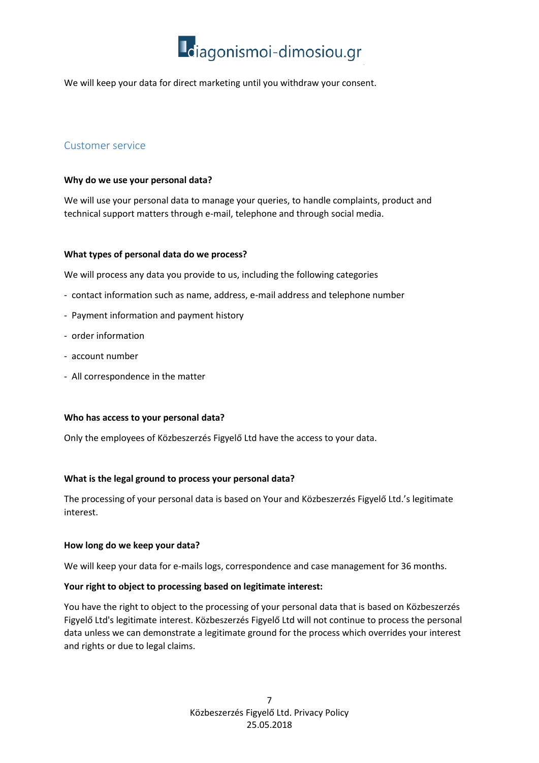

We will keep your data for direct marketing until you withdraw your consent.

#### <span id="page-6-0"></span>Customer service

#### **Why do we use your personal data?**

We will use your personal data to manage your queries, to handle complaints, product and technical support matters through e-mail, telephone and through social media.

#### **What types of personal data do we process?**

We will process any data you provide to us, including the following categories

- contact information such as name, address, e-mail address and telephone number
- Payment information and payment history
- order information
- account number
- All correspondence in the matter

#### **Who has access to your personal data?**

Only the employees of Közbeszerzés Figyelő Ltd have the access to your data.

#### **What is the legal ground to process your personal data?**

The processing of your personal data is based on Your and Közbeszerzés Figyelő Ltd.'s legitimate interest.

#### **How long do we keep your data?**

We will keep your data for e-mails logs, correspondence and case management for 36 months.

#### **Your right to object to processing based on legitimate interest:**

You have the right to object to the processing of your personal data that is based on Közbeszerzés Figyelő Ltd's legitimate interest. Közbeszerzés Figyelő Ltd will not continue to process the personal data unless we can demonstrate a legitimate ground for the process which overrides your interest and rights or due to legal claims.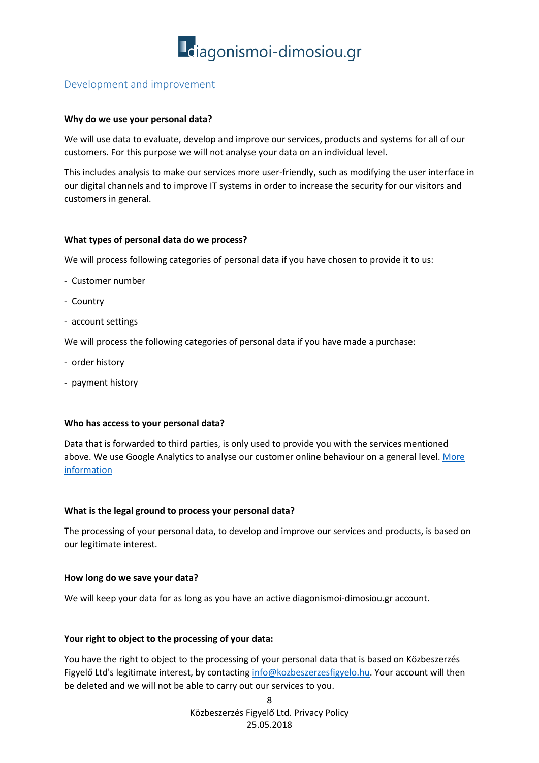

#### <span id="page-7-0"></span>Development and improvement

#### **Why do we use your personal data?**

We will use data to evaluate, develop and improve our services, products and systems for all of our customers. For this purpose we will not analyse your data on an individual level.

This includes analysis to make our services more user-friendly, such as modifying the user interface in our digital channels and to improve IT systems in order to increase the security for our visitors and customers in general.

#### **What types of personal data do we process?**

We will process following categories of personal data if you have chosen to provide it to us:

- Customer number
- Country
- account settings

We will process the following categories of personal data if you have made a purchase:

- order history
- payment history

#### **Who has access to your personal data?**

Data that is forwarded to third parties, is only used to provide you with the services mentioned above. We use Google Analytics to analyse our customer online behaviour on a general level. More [information](https://support.google.com/analytics/answer/6004245?hl=en)

#### **What is the legal ground to process your personal data?**

The processing of your personal data, to develop and improve our services and products, is based on our legitimate interest.

#### **How long do we save your data?**

We will keep your data for as long as you have an active diagonismoi-dimosiou.gr account.

#### **Your right to object to the processing of your data:**

You have the right to object to the processing of your personal data that is based on Közbeszerzés Figyelő Ltd's legitimate interest, by contactin[g info@kozbeszerzesfigyelo.hu.](mailto:info@kozbeszerzesfigyelo.hu) Your account will then be deleted and we will not be able to carry out our services to you.

> 8 Közbeszerzés Figyelő Ltd. Privacy Policy 25.05.2018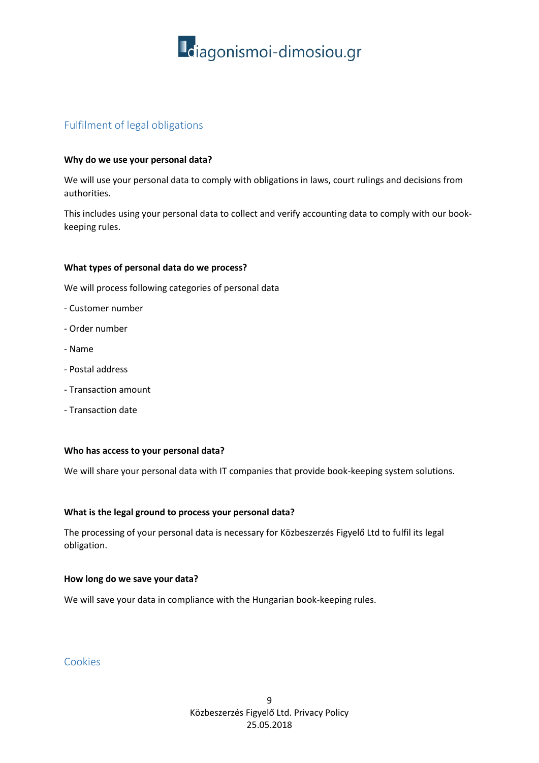

#### <span id="page-8-0"></span>Fulfilment of legal obligations

#### **Why do we use your personal data?**

We will use your personal data to comply with obligations in laws, court rulings and decisions from authorities.

This includes using your personal data to collect and verify accounting data to comply with our bookkeeping rules.

#### **What types of personal data do we process?**

We will process following categories of personal data

- Customer number
- Order number
- Name
- Postal address
- Transaction amount
- Transaction date

#### **Who has access to your personal data?**

We will share your personal data with IT companies that provide book-keeping system solutions.

#### **What is the legal ground to process your personal data?**

The processing of your personal data is necessary for Közbeszerzés Figyelő Ltd to fulfil its legal obligation.

#### **How long do we save your data?**

We will save your data in compliance with the Hungarian book-keeping rules.

#### <span id="page-8-1"></span>Cookies